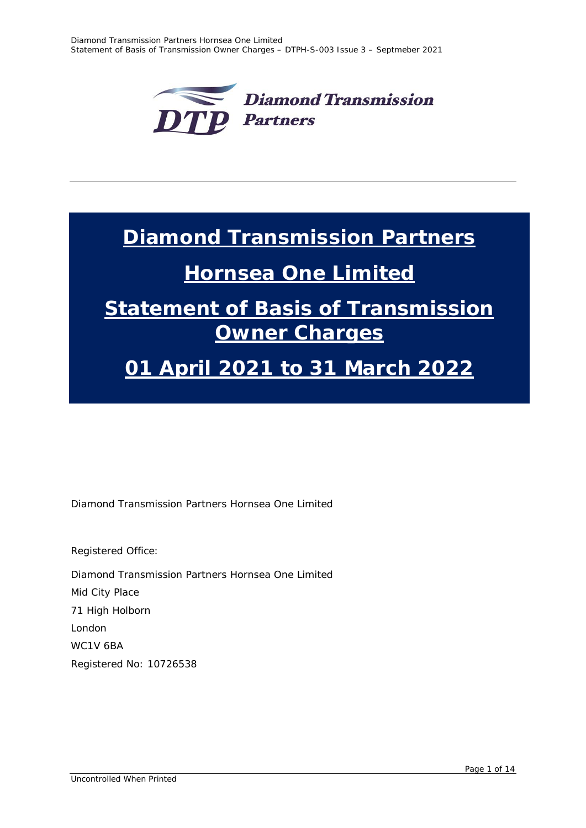

# **Diamond Transmission Partners**

## **Hornsea One Limited**

# **Statement of Basis of Transmission Owner Charges**

# **01 April 2021 to 31 March 2022**

Diamond Transmission Partners Hornsea One Limited

Registered Office: Diamond Transmission Partners Hornsea One Limited Mid City Place 71 High Holborn London WC1V 6BA Registered No: 10726538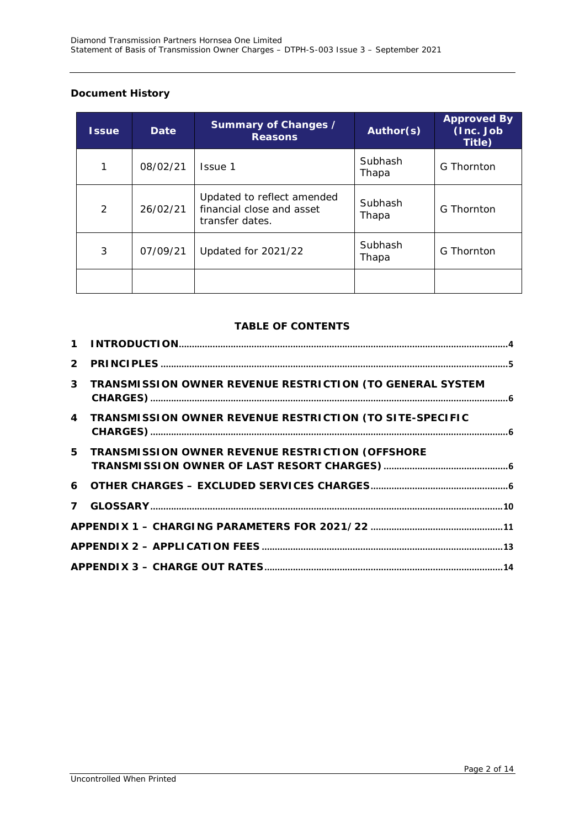### **Document History**

| <b>Issue</b>  | <b>Date</b> | Summary of Changes /<br><b>Reasons</b>                                     | Author(s)        | <b>Approved By</b><br>(Inc. Job<br>Title) |
|---------------|-------------|----------------------------------------------------------------------------|------------------|-------------------------------------------|
| 1             | 08/02/21    | Issue 1                                                                    | Subhash<br>Thapa | G Thornton                                |
| $\mathcal{P}$ | 26/02/21    | Updated to reflect amended<br>financial close and asset<br>transfer dates. | Subhash<br>Thapa | G Thornton                                |
| 3             | 07/09/21    | Updated for 2021/22                                                        | Subhash<br>Thapa | G Thornton                                |
|               |             |                                                                            |                  |                                           |

## **TABLE OF CONTENTS**

| 3 TRANSMISSION OWNER REVENUE RESTRICTION (TO GENERAL SYSTEM |  |
|-------------------------------------------------------------|--|
| 4 TRANSMISSION OWNER REVENUE RESTRICTION (TO SITE-SPECIFIC  |  |
| 5 TRANSMISSION OWNER REVENUE RESTRICTION (OFFSHORE          |  |
|                                                             |  |
|                                                             |  |
|                                                             |  |
|                                                             |  |
|                                                             |  |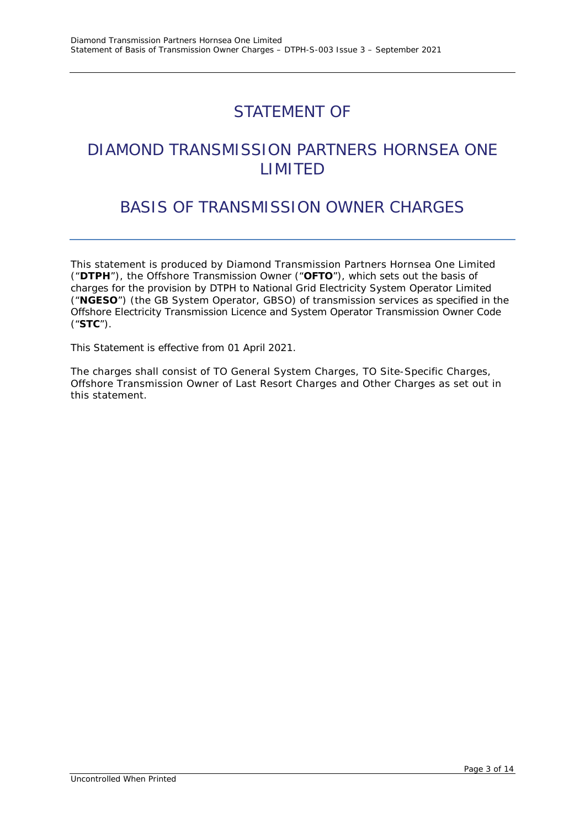## STATEMENT OF

## DIAMOND TRANSMISSION PARTNERS HORNSEA ONE LIMITED

## BASIS OF TRANSMISSION OWNER CHARGES

This statement is produced by Diamond Transmission Partners Hornsea One Limited ("**DTPH**"), the Offshore Transmission Owner ("**OFTO**"), which sets out the basis of charges for the provision by DTPH to National Grid Electricity System Operator Limited ("**NGESO**") (the GB System Operator, GBSO) of transmission services as specified in the Offshore Electricity Transmission Licence and System Operator Transmission Owner Code ("**STC**").

This Statement is effective from 01 April 2021.

The charges shall consist of TO General System Charges, TO Site-Specific Charges, Offshore Transmission Owner of Last Resort Charges and Other Charges as set out in this statement.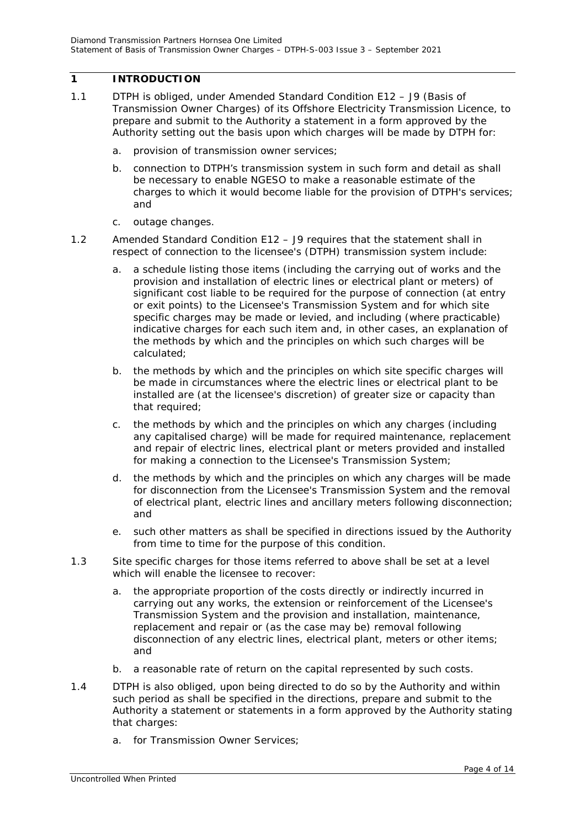### <span id="page-3-0"></span>**1 INTRODUCTION**

- 1.1 DTPH is obliged, under Amended Standard Condition E12 J9 (Basis of Transmission Owner Charges) of its Offshore Electricity Transmission Licence, to prepare and submit to the Authority a statement in a form approved by the Authority setting out the basis upon which charges will be made by DTPH for:
	- *a. provision of transmission owner services;*
	- *b. connection to DTPH's transmission system in such form and detail as shall be necessary to enable NGESO to make a reasonable estimate of the charges to which it would become liable for the provision of DTPH's services; and*
	- *c. outage changes.*
- 1.2 Amended Standard Condition E12 J9 requires that the statement shall in respect of connection to the licensee's (DTPH) transmission system include:
	- *a. a schedule listing those items (including the carrying out of works and the provision and installation of electric lines or electrical plant or meters) of significant cost liable to be required for the purpose of connection (at entry or exit points) to the Licensee's Transmission System and for which site specific charges may be made or levied, and including (where practicable) indicative charges for each such item and, in other cases, an explanation of the methods by which and the principles on which such charges will be calculated;*
	- *b. the methods by which and the principles on which site specific charges will be made in circumstances where the electric lines or electrical plant to be installed are (at the licensee's discretion) of greater size or capacity than that required;*
	- *c. the methods by which and the principles on which any charges (including any capitalised charge) will be made for required maintenance, replacement and repair of electric lines, electrical plant or meters provided and installed for making a connection to the Licensee's Transmission System;*
	- *d. the methods by which and the principles on which any charges will be made for disconnection from the Licensee's Transmission System and the removal of electrical plant, electric lines and ancillary meters following disconnection; and*
	- *e. such other matters as shall be specified in directions issued by the Authority from time to time for the purpose of this condition.*
- 1.3 Site specific charges for those items referred to above shall be set at a level which will enable the licensee to recover:
	- *a. the appropriate proportion of the costs directly or indirectly incurred in carrying out any works, the extension or reinforcement of the Licensee's Transmission System and the provision and installation, maintenance, replacement and repair or (as the case may be) removal following disconnection of any electric lines, electrical plant, meters or other items; and*
	- *b. a reasonable rate of return on the capital represented by such costs.*
- 1.4 DTPH is also obliged, upon being directed to do so by the Authority and within such period as shall be specified in the directions, prepare and submit to the Authority a statement or statements in a form approved by the Authority stating that charges:
	- *a. for Transmission Owner Services;*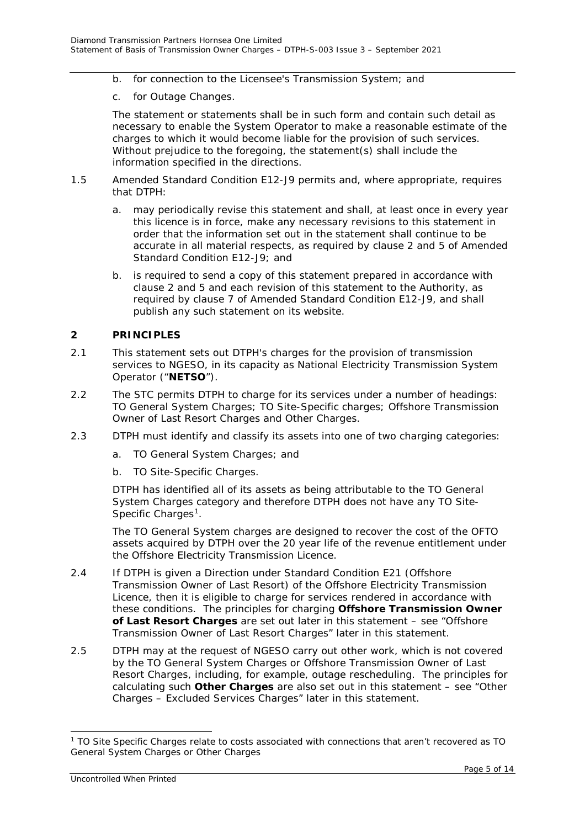- *b. for connection to the Licensee's Transmission System; and*
- c. *for Outage Changes.*

The statement or statements shall be in such form and contain such detail as necessary to enable the System Operator to make a reasonable estimate of the charges to which it would become liable for the provision of such services. Without prejudice to the foregoing, the statement(s) shall include the information specified in the directions.

- 1.5 Amended Standard Condition E12-J9 permits and, where appropriate, requires that DTPH:
	- a. may periodically revise this statement and shall, at least once in every year this licence is in force, make any necessary revisions to this statement in order that the information set out in the statement shall continue to be accurate in all material respects, as required by clause 2 and 5 of Amended Standard Condition E12-J9; and
	- b. is required to send a copy of this statement prepared in accordance with clause 2 and 5 and each revision of this statement to the Authority, as required by clause 7 of Amended Standard Condition E12-J9, and shall publish any such statement on its website.

#### <span id="page-4-0"></span>**2 PRINCIPLES**

- 2.1 This statement sets out DTPH's charges for the provision of transmission services to NGESO, in its capacity as National Electricity Transmission System Operator ("**NETSO**").
- 2.2 The STC permits DTPH to charge for its services under a number of headings: TO General System Charges; TO Site-Specific charges; Offshore Transmission Owner of Last Resort Charges and Other Charges.
- 2.3 DTPH must identify and classify its assets into one of two charging categories:
	- a. TO General System Charges; and
	- b. TO Site-Specific Charges.

DTPH has identified all of its assets as being attributable to the TO General System Charges category and therefore DTPH does not have any TO Site-Specific Charges<sup>[1](#page-4-1)</sup>.

The TO General System charges are designed to recover the cost of the OFTO assets acquired by DTPH over the 20 year life of the revenue entitlement under the Offshore Electricity Transmission Licence.

- 2.4 If DTPH is given a Direction under Standard Condition E21 (Offshore Transmission Owner of Last Resort) of the Offshore Electricity Transmission Licence, then it is eligible to charge for services rendered in accordance with these conditions. The principles for charging **Offshore Transmission Owner of Last Resort Charges** are set out later in this statement – see "Offshore Transmission Owner of Last Resort Charges" later in this statement.
- 2.5 DTPH may at the request of NGESO carry out other work, which is not covered by the TO General System Charges or Offshore Transmission Owner of Last Resort Charges, including, for example, outage rescheduling. The principles for calculating such **Other Charges** are also set out in this statement – see "Other Charges – Excluded Services Charges" later in this statement.

-

<span id="page-4-1"></span><sup>1</sup> TO Site Specific Charges relate to costs associated with connections that aren't recovered as TO General System Charges or Other Charges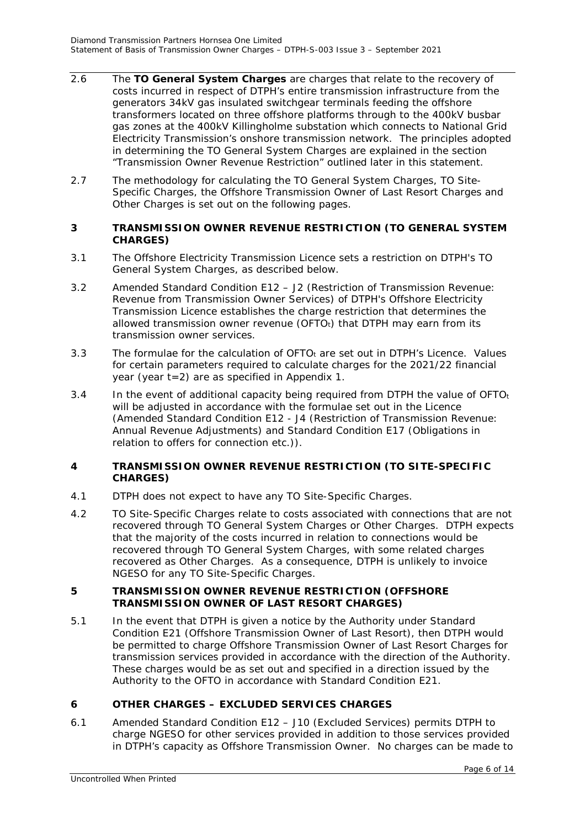- 2.6 The **TO General System Charges** are charges that relate to the recovery of costs incurred in respect of DTPH's entire transmission infrastructure from the generators 34kV gas insulated switchgear terminals feeding the offshore transformers located on three offshore platforms through to the 400kV busbar gas zones at the 400kV Killingholme substation which connects to National Grid Electricity Transmission's onshore transmission network. The principles adopted in determining the TO General System Charges are explained in the section "Transmission Owner Revenue Restriction" outlined later in this statement.
- 2.7 The methodology for calculating the TO General System Charges, TO Site-Specific Charges, the Offshore Transmission Owner of Last Resort Charges and Other Charges is set out on the following pages.

#### <span id="page-5-0"></span>**3 TRANSMISSION OWNER REVENUE RESTRICTION (TO GENERAL SYSTEM CHARGES)**

- 3.1 The Offshore Electricity Transmission Licence sets a restriction on DTPH's TO General System Charges, as described below.
- 3.2 Amended Standard Condition E12 J2 (Restriction of Transmission Revenue: Revenue from Transmission Owner Services) of DTPH's Offshore Electricity Transmission Licence establishes the charge restriction that determines the allowed transmission owner revenue (OFTO $<sub>t</sub>$ ) that DTPH may earn from its</sub> transmission owner services.
- 3.3 The formulae for the calculation of  $OFTO<sub>t</sub>$  are set out in DTPH's Licence. Values for certain parameters required to calculate charges for the 2021/22 financial year (year t=2) are as specified in Appendix 1.
- 3.4 In the event of additional capacity being required from DTPH the value of  $\text{OFTO}_t$ will be adjusted in accordance with the formulae set out in the Licence (Amended Standard Condition E12 - J4 (Restriction of Transmission Revenue: Annual Revenue Adjustments) and Standard Condition E17 (Obligations in relation to offers for connection etc.)).

#### <span id="page-5-1"></span>**4 TRANSMISSION OWNER REVENUE RESTRICTION (TO SITE-SPECIFIC CHARGES)**

- 4.1 DTPH does not expect to have any TO Site-Specific Charges.
- 4.2 TO Site-Specific Charges relate to costs associated with connections that are not recovered through TO General System Charges or Other Charges. DTPH expects that the majority of the costs incurred in relation to connections would be recovered through TO General System Charges, with some related charges recovered as Other Charges. As a consequence, DTPH is unlikely to invoice NGESO for any TO Site-Specific Charges.

#### <span id="page-5-2"></span>**5 TRANSMISSION OWNER REVENUE RESTRICTION (OFFSHORE TRANSMISSION OWNER OF LAST RESORT CHARGES)**

5.1 In the event that DTPH is given a notice by the Authority under Standard Condition E21 (Offshore Transmission Owner of Last Resort), then DTPH would be permitted to charge Offshore Transmission Owner of Last Resort Charges for transmission services provided in accordance with the direction of the Authority. These charges would be as set out and specified in a direction issued by the Authority to the OFTO in accordance with Standard Condition E21.

#### <span id="page-5-3"></span>**6 OTHER CHARGES – EXCLUDED SERVICES CHARGES**

6.1 Amended Standard Condition E12 – J10 (Excluded Services) permits DTPH to charge NGESO for other services provided in addition to those services provided in DTPH's capacity as Offshore Transmission Owner. No charges can be made to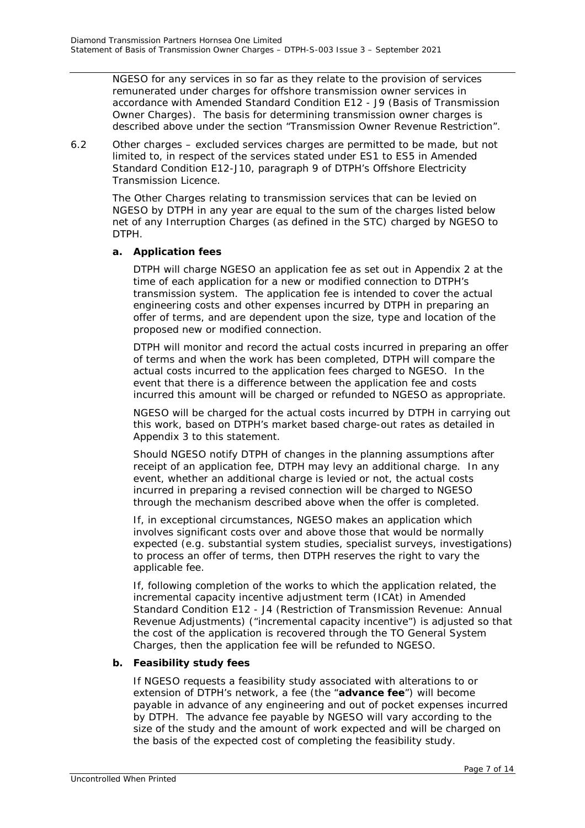NGESO for any services in so far as they relate to the provision of services remunerated under charges for offshore transmission owner services in accordance with Amended Standard Condition E12 - J9 (Basis of Transmission Owner Charges). The basis for determining transmission owner charges is described above under the section "Transmission Owner Revenue Restriction".

6.2 Other charges – excluded services charges are permitted to be made, but not limited to, in respect of the services stated under ES1 to ES5 in Amended Standard Condition E12-J10, paragraph 9 of DTPH's Offshore Electricity Transmission Licence.

The Other Charges relating to transmission services that can be levied on NGESO by DTPH in any year are equal to the sum of the charges listed below net of any Interruption Charges (as defined in the STC) charged by NGESO to DTPH.

#### **a. Application fees**

DTPH will charge NGESO an application fee as set out in Appendix 2 at the time of each application for a new or modified connection to DTPH's transmission system. The application fee is intended to cover the actual engineering costs and other expenses incurred by DTPH in preparing an offer of terms, and are dependent upon the size, type and location of the proposed new or modified connection.

DTPH will monitor and record the actual costs incurred in preparing an offer of terms and when the work has been completed, DTPH will compare the actual costs incurred to the application fees charged to NGESO. In the event that there is a difference between the application fee and costs incurred this amount will be charged or refunded to NGESO as appropriate.

NGESO will be charged for the actual costs incurred by DTPH in carrying out this work, based on DTPH's market based charge-out rates as detailed in Appendix 3 to this statement.

Should NGESO notify DTPH of changes in the planning assumptions after receipt of an application fee, DTPH may levy an additional charge. In any event, whether an additional charge is levied or not, the actual costs incurred in preparing a revised connection will be charged to NGESO through the mechanism described above when the offer is completed.

If, in exceptional circumstances, NGESO makes an application which involves significant costs over and above those that would be normally expected (e.g. substantial system studies, specialist surveys, investigations) to process an offer of terms, then DTPH reserves the right to vary the applicable fee.

If, following completion of the works to which the application related, the incremental capacity incentive adjustment term (ICAt) in Amended Standard Condition E12 - J4 (Restriction of Transmission Revenue: Annual Revenue Adjustments) ("incremental capacity incentive") is adjusted so that the cost of the application is recovered through the TO General System Charges, then the application fee will be refunded to NGESO.

### **b. Feasibility study fees**

If NGESO requests a feasibility study associated with alterations to or extension of DTPH's network, a fee (the "**advance fee**") will become payable in advance of any engineering and out of pocket expenses incurred by DTPH. The advance fee payable by NGESO will vary according to the size of the study and the amount of work expected and will be charged on the basis of the expected cost of completing the feasibility study.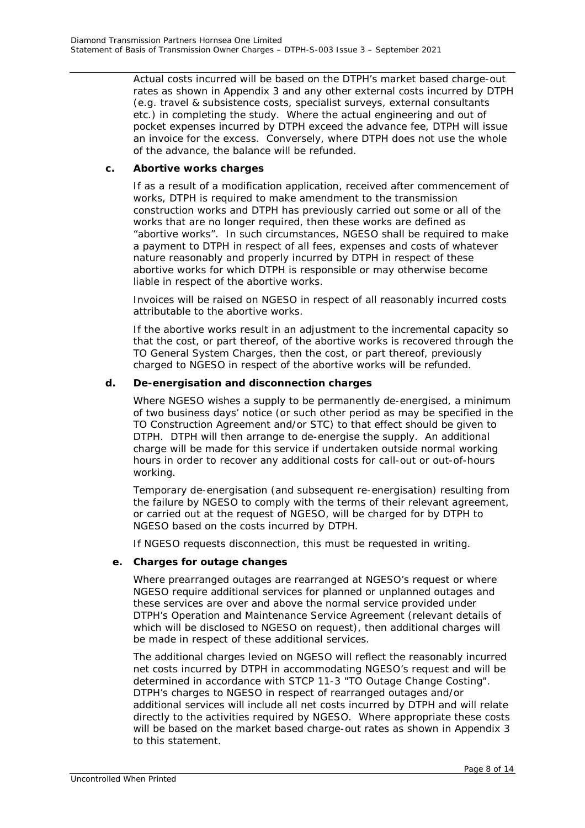Actual costs incurred will be based on the DTPH's market based charge-out rates as shown in Appendix 3 and any other external costs incurred by DTPH (e.g. travel & subsistence costs, specialist surveys, external consultants etc.) in completing the study. Where the actual engineering and out of pocket expenses incurred by DTPH exceed the advance fee, DTPH will issue an invoice for the excess. Conversely, where DTPH does not use the whole of the advance, the balance will be refunded.

#### **c. Abortive works charges**

If as a result of a modification application, received after commencement of works, DTPH is required to make amendment to the transmission construction works and DTPH has previously carried out some or all of the works that are no longer required, then these works are defined as "abortive works". In such circumstances, NGESO shall be required to make a payment to DTPH in respect of all fees, expenses and costs of whatever nature reasonably and properly incurred by DTPH in respect of these abortive works for which DTPH is responsible or may otherwise become liable in respect of the abortive works.

Invoices will be raised on NGESO in respect of all reasonably incurred costs attributable to the abortive works.

If the abortive works result in an adjustment to the incremental capacity so that the cost, or part thereof, of the abortive works is recovered through the TO General System Charges, then the cost, or part thereof, previously charged to NGESO in respect of the abortive works will be refunded.

#### **d. De-energisation and disconnection charges**

Where NGESO wishes a supply to be permanently de-energised, a minimum of two business days' notice (or such other period as may be specified in the TO Construction Agreement and/or STC) to that effect should be given to DTPH. DTPH will then arrange to de-energise the supply. An additional charge will be made for this service if undertaken outside normal working hours in order to recover any additional costs for call-out or out-of-hours working.

Temporary de-energisation (and subsequent re-energisation) resulting from the failure by NGESO to comply with the terms of their relevant agreement, or carried out at the request of NGESO, will be charged for by DTPH to NGESO based on the costs incurred by DTPH.

If NGESO requests disconnection, this must be requested in writing.

#### **e. Charges for outage changes**

Where prearranged outages are rearranged at NGESO's request or where NGESO require additional services for planned or unplanned outages and these services are over and above the normal service provided under DTPH's Operation and Maintenance Service Agreement (relevant details of which will be disclosed to NGESO on request), then additional charges will be made in respect of these additional services.

The additional charges levied on NGESO will reflect the reasonably incurred net costs incurred by DTPH in accommodating NGESO's request and will be determined in accordance with STCP 11-3 "TO Outage Change Costing". DTPH's charges to NGESO in respect of rearranged outages and/or additional services will include all net costs incurred by DTPH and will relate directly to the activities required by NGESO. Where appropriate these costs will be based on the market based charge-out rates as shown in Appendix 3 to this statement.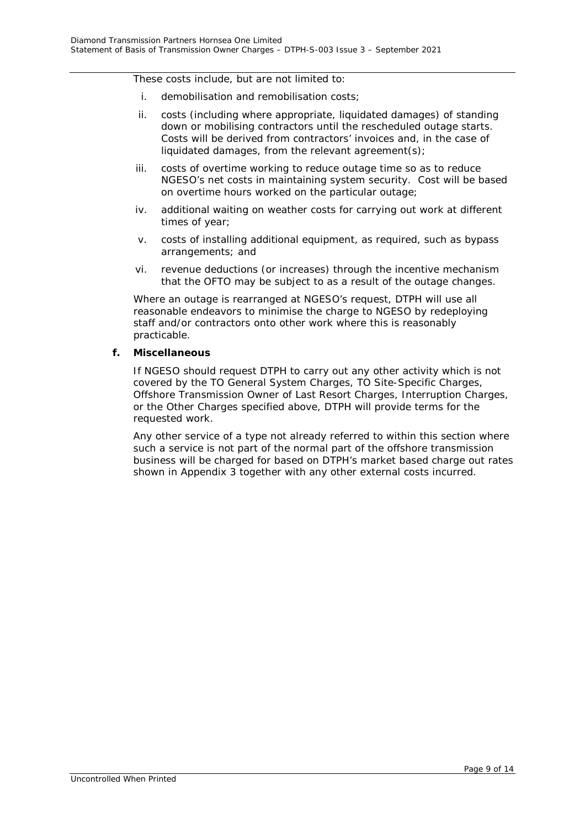These costs include, but are not limited to:

- i. demobilisation and remobilisation costs;
- ii. costs (including where appropriate, liquidated damages) of standing down or mobilising contractors until the rescheduled outage starts. Costs will be derived from contractors' invoices and, in the case of liquidated damages, from the relevant agreement(s);
- iii. costs of overtime working to reduce outage time so as to reduce NGESO's net costs in maintaining system security. Cost will be based on overtime hours worked on the particular outage;
- iv. additional waiting on weather costs for carrying out work at different times of year;
- v. costs of installing additional equipment, as required, such as bypass arrangements; and
- vi. revenue deductions (or increases) through the incentive mechanism that the OFTO may be subject to as a result of the outage changes.

Where an outage is rearranged at NGESO's request, DTPH will use all reasonable endeavors to minimise the charge to NGESO by redeploying staff and/or contractors onto other work where this is reasonably practicable.

## **f. Miscellaneous**

If NGESO should request DTPH to carry out any other activity which is not covered by the TO General System Charges, TO Site-Specific Charges, Offshore Transmission Owner of Last Resort Charges, Interruption Charges, or the Other Charges specified above, DTPH will provide terms for the requested work.

Any other service of a type not already referred to within this section where such a service is not part of the normal part of the offshore transmission business will be charged for based on DTPH's market based charge out rates shown in Appendix 3 together with any other external costs incurred.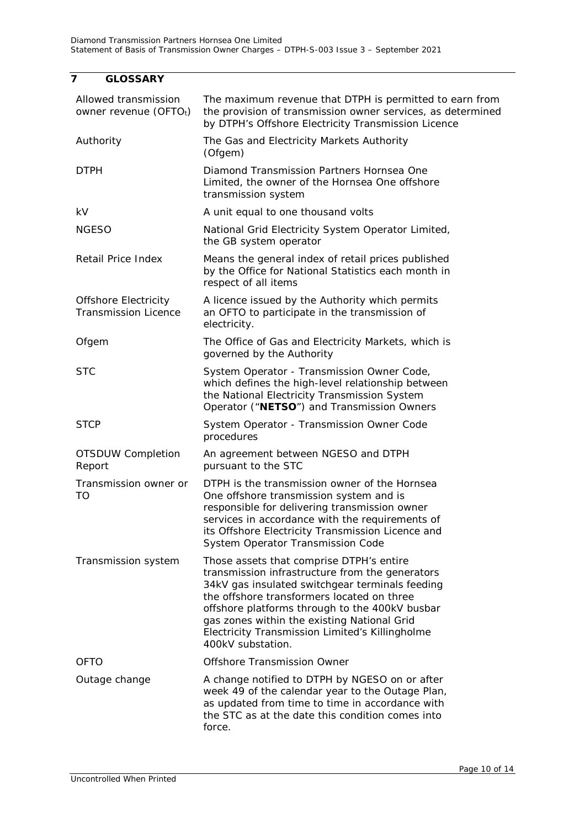## <span id="page-9-0"></span>**7 GLOSSARY**

| Allowed transmission<br>owner revenue (OFTOt)              | The maximum revenue that DTPH is permitted to earn from<br>the provision of transmission owner services, as determined<br>by DTPH's Offshore Electricity Transmission Licence                                                                                                                                                                                         |
|------------------------------------------------------------|-----------------------------------------------------------------------------------------------------------------------------------------------------------------------------------------------------------------------------------------------------------------------------------------------------------------------------------------------------------------------|
| Authority                                                  | The Gas and Electricity Markets Authority<br>(Ofgem)                                                                                                                                                                                                                                                                                                                  |
| <b>DTPH</b>                                                | Diamond Transmission Partners Hornsea One<br>Limited, the owner of the Hornsea One offshore<br>transmission system                                                                                                                                                                                                                                                    |
| kV                                                         | A unit equal to one thousand volts                                                                                                                                                                                                                                                                                                                                    |
| <b>NGESO</b>                                               | National Grid Electricity System Operator Limited,<br>the GB system operator                                                                                                                                                                                                                                                                                          |
| <b>Retail Price Index</b>                                  | Means the general index of retail prices published<br>by the Office for National Statistics each month in<br>respect of all items                                                                                                                                                                                                                                     |
| <b>Offshore Electricity</b><br><b>Transmission Licence</b> | A licence issued by the Authority which permits<br>an OFTO to participate in the transmission of<br>electricity.                                                                                                                                                                                                                                                      |
| Ofgem                                                      | The Office of Gas and Electricity Markets, which is<br>governed by the Authority                                                                                                                                                                                                                                                                                      |
| <b>STC</b>                                                 | System Operator - Transmission Owner Code,<br>which defines the high-level relationship between<br>the National Electricity Transmission System<br>Operator ("NETSO") and Transmission Owners                                                                                                                                                                         |
| <b>STCP</b>                                                | System Operator - Transmission Owner Code<br>procedures                                                                                                                                                                                                                                                                                                               |
| OTSDUW Completion<br>Report                                | An agreement between NGESO and DTPH<br>pursuant to the STC                                                                                                                                                                                                                                                                                                            |
| Transmission owner or<br>TO                                | DTPH is the transmission owner of the Hornsea<br>One offshore transmission system and is<br>responsible for delivering transmission owner<br>services in accordance with the requirements of<br>its Offshore Electricity Transmission Licence and<br>System Operator Transmission Code                                                                                |
| Transmission system                                        | Those assets that comprise DTPH's entire<br>transmission infrastructure from the generators<br>34kV gas insulated switchgear terminals feeding<br>the offshore transformers located on three<br>offshore platforms through to the 400kV busbar<br>gas zones within the existing National Grid<br>Electricity Transmission Limited's Killingholme<br>400kV substation. |
| <b>OFTO</b>                                                | Offshore Transmission Owner                                                                                                                                                                                                                                                                                                                                           |
| Outage change                                              | A change notified to DTPH by NGESO on or after<br>week 49 of the calendar year to the Outage Plan,<br>as updated from time to time in accordance with<br>the STC as at the date this condition comes into<br>force.                                                                                                                                                   |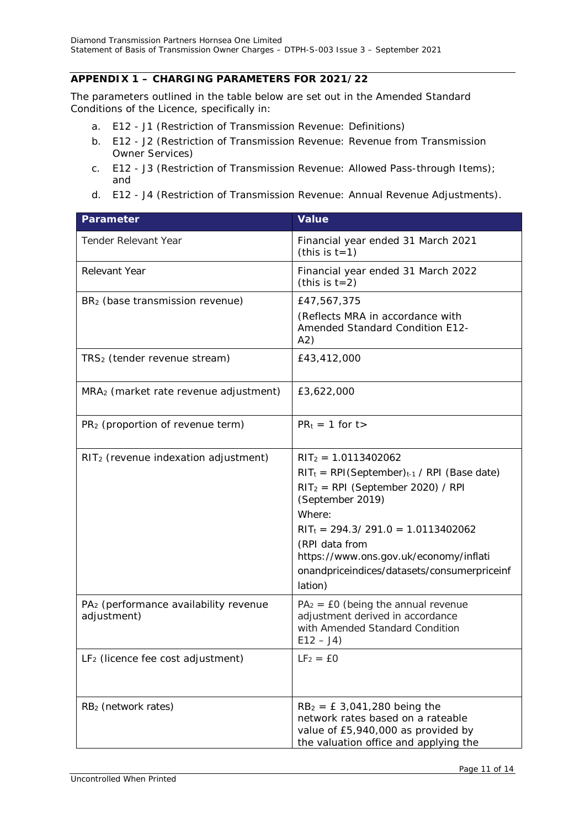#### <span id="page-10-0"></span>**APPENDIX 1 – CHARGING PARAMETERS FOR 2021/22**

The parameters outlined in the table below are set out in the Amended Standard Conditions of the Licence, specifically in:

- a. E12 J1 (Restriction of Transmission Revenue: Definitions)
- b. E12 J2 (Restriction of Transmission Revenue: Revenue from Transmission Owner Services)
- c. E12 J3 (Restriction of Transmission Revenue: Allowed Pass-through Items); and
- d. E12 J4 (Restriction of Transmission Revenue: Annual Revenue Adjustments).

| <b>Parameter</b>                                                 | <b>Value</b>                                                                                                                                                                                                                                                                                                     |
|------------------------------------------------------------------|------------------------------------------------------------------------------------------------------------------------------------------------------------------------------------------------------------------------------------------------------------------------------------------------------------------|
| <b>Tender Relevant Year</b>                                      | Financial year ended 31 March 2021<br>(this is $t=1$ )                                                                                                                                                                                                                                                           |
| <b>Relevant Year</b>                                             | Financial year ended 31 March 2022<br>(this is $t=2$ )                                                                                                                                                                                                                                                           |
| BR <sub>2</sub> (base transmission revenue)                      | £47,567,375<br>(Reflects MRA in accordance with<br><b>Amended Standard Condition E12-</b><br>A2)                                                                                                                                                                                                                 |
| TRS <sub>2</sub> (tender revenue stream)                         | £43,412,000                                                                                                                                                                                                                                                                                                      |
| MRA <sub>2</sub> (market rate revenue adjustment)                | £3,622,000                                                                                                                                                                                                                                                                                                       |
| PR <sub>2</sub> (proportion of revenue term)                     | $PR_t = 1$ for t>                                                                                                                                                                                                                                                                                                |
| RIT <sub>2</sub> (revenue indexation adjustment)                 | $RIT_2 = 1.0113402062$<br>$RIT_t = RPI(September)_{t-1}$ / RPI (Base date)<br>$RIT_2 = RPI$ (September 2020) / RPI<br>(September 2019)<br>Where:<br>$RIT_t = 294.3 / 291.0 = 1.0113402062$<br>(RPI data from<br>https://www.ons.gov.uk/economy/inflati<br>onandpriceindices/datasets/consumerpriceinf<br>lation) |
| PA <sub>2</sub> (performance availability revenue<br>adjustment) | $PA2 = E0$ (being the annual revenue<br>adjustment derived in accordance<br>with Amended Standard Condition<br>$E12 - J4$                                                                                                                                                                                        |
| LF <sub>2</sub> (licence fee cost adjustment)                    | $LF2 = £0$                                                                                                                                                                                                                                                                                                       |
| RB <sub>2</sub> (network rates)                                  | $RB2 = £3,041,280$ being the<br>network rates based on a rateable<br>value of £5,940,000 as provided by<br>the valuation office and applying the                                                                                                                                                                 |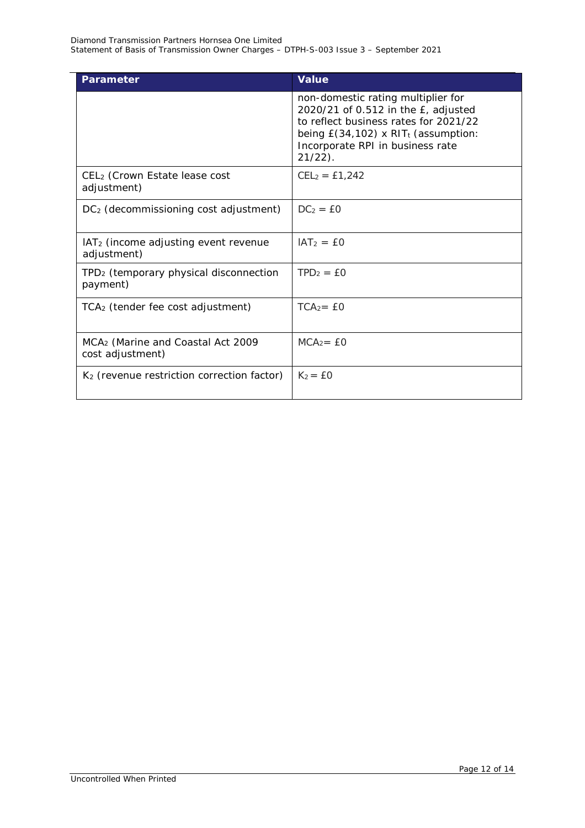| <b>Parameter</b>                                                  | <b>Value</b>                                                                                                                                                                                                                  |
|-------------------------------------------------------------------|-------------------------------------------------------------------------------------------------------------------------------------------------------------------------------------------------------------------------------|
|                                                                   | non-domestic rating multiplier for<br>2020/21 of 0.512 in the $E$ , adjusted<br>to reflect business rates for 2021/22<br>being $E(34, 102)$ x RIT <sub>t</sub> (assumption:<br>Incorporate RPI in business rate<br>$21/22$ ). |
| CEL <sub>2</sub> (Crown Estate lease cost<br>adjustment)          | $CEL_2 = £1,242$                                                                                                                                                                                                              |
| DC <sub>2</sub> (decommissioning cost adjustment)                 | $DC2 = EO$                                                                                                                                                                                                                    |
| IAT <sub>2</sub> (income adjusting event revenue<br>adjustment)   | $IAT2 = £0$                                                                                                                                                                                                                   |
| TPD <sub>2</sub> (temporary physical disconnection<br>payment)    | $TPD2 = £0$                                                                                                                                                                                                                   |
| TCA <sub>2</sub> (tender fee cost adjustment)                     | $TCA = E0$                                                                                                                                                                                                                    |
| MCA <sub>2</sub> (Marine and Coastal Act 2009<br>cost adjustment) | $MCA_2 = £0$                                                                                                                                                                                                                  |
| K <sub>2</sub> (revenue restriction correction factor)            | $K_2 = £0$                                                                                                                                                                                                                    |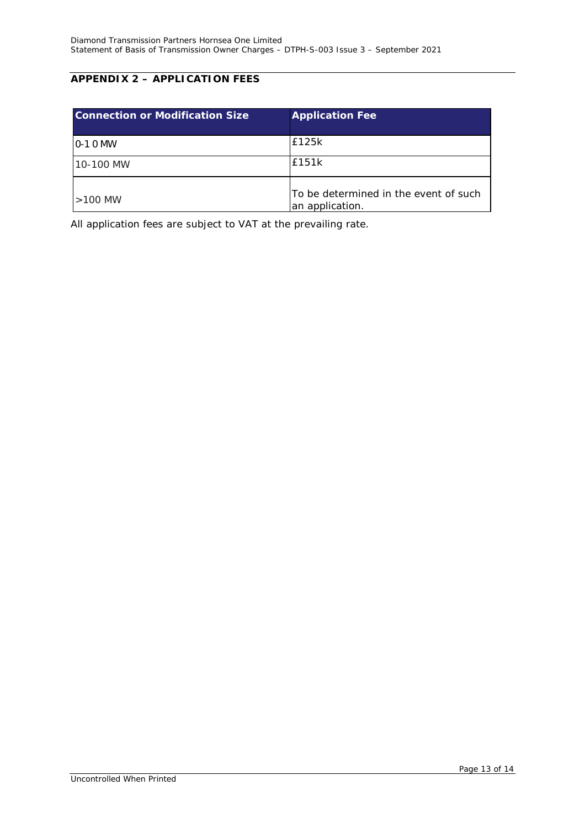## <span id="page-12-0"></span>**APPENDIX 2 – APPLICATION FEES**

| <b>Connection or Modification Size</b> | <b>Application Fee</b>                                   |
|----------------------------------------|----------------------------------------------------------|
| $10-10$ MW                             | £125k                                                    |
| 10-100 MW                              | £151k                                                    |
| $>100$ MW                              | To be determined in the event of such<br>an application. |

All application fees are subject to VAT at the prevailing rate.